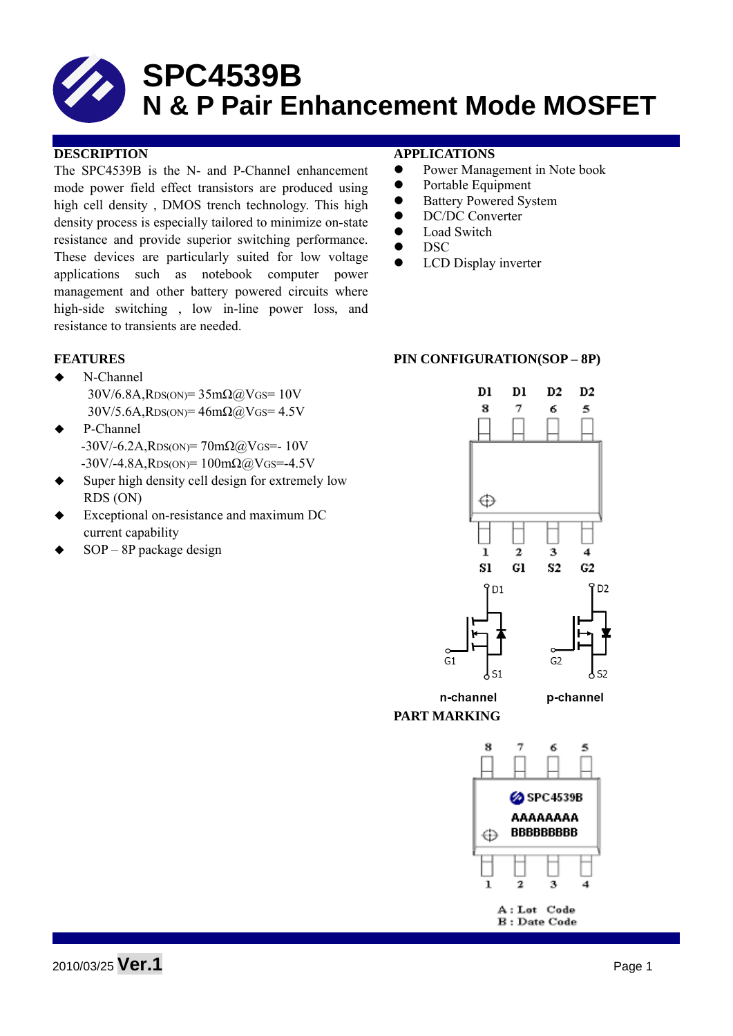The SPC4539B is the N- and P-Channel enhancement mode power field effect transistors are produced using high cell density , DMOS trench technology. This high density process is especially tailored to minimize on-state resistance and provide superior switching performance. These devices are particularly suited for low voltage applications such as notebook computer power management and other battery powered circuits where high-side switching , low in-line power loss, and resistance to transients are needed.

- ◆ N-Channel  $30V/6.8A$ , RDS(ON)=  $35m\Omega$  (a) VGS= 10V  $30V/5.6A$ , RDS(ON)=  $46m\Omega$ @VGS=  $4.5V$
- P-Channel  $-30V/-6.2A$ , RDS(ON)=  $70m\Omega$  (a) VGS=- 10V  $-30V/-4.8A$ , RDS(ON)= 100mΩ@VGS=-4.5V
- Super high density cell design for extremely low RDS (ON)
- Exceptional on-resistance and maximum DC current capability
- SOP 8P package design

#### **DESCRIPTION APPLICATIONS**

- Power Management in Note book
- Portable Equipment
- Battery Powered System
- DC/DC Converter
- $\bullet$  Load Switch
- $\bullet$  DSC
- LCD Display inverter

#### FEATURES PIN CONFIGURATION(SOP – 8P)



**B**: Date Code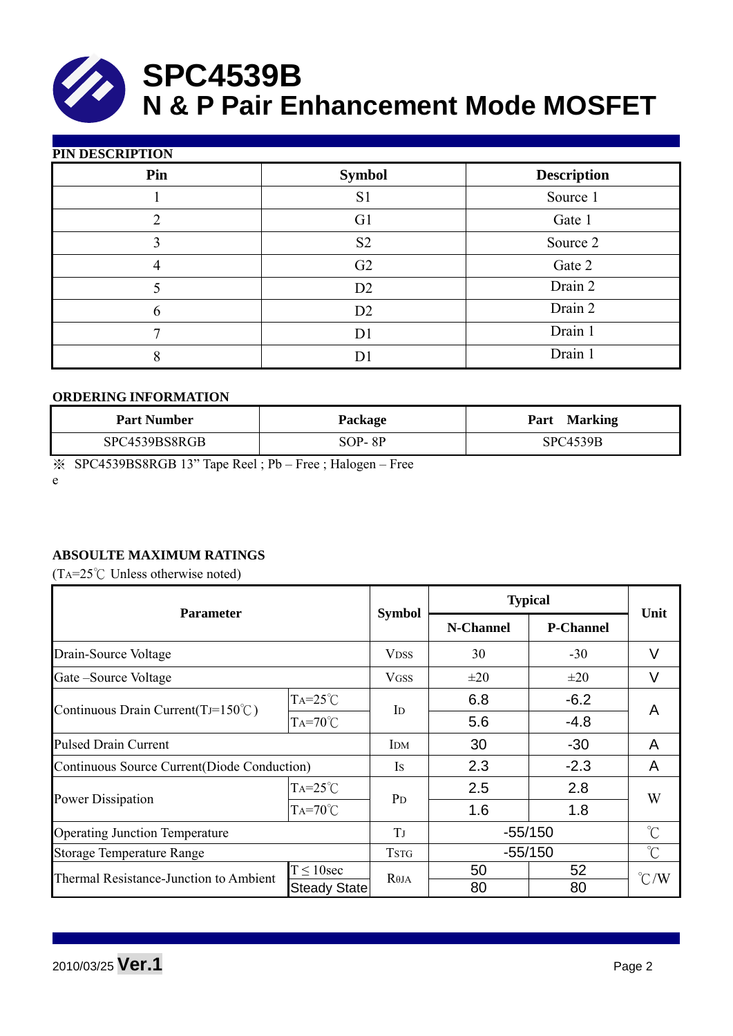

| PIN DESCRIPTION |                |                    |  |  |  |  |  |
|-----------------|----------------|--------------------|--|--|--|--|--|
| Pin             | <b>Symbol</b>  | <b>Description</b> |  |  |  |  |  |
|                 | S <sub>1</sub> | Source 1           |  |  |  |  |  |
| 2               | G <sub>1</sub> | Gate 1             |  |  |  |  |  |
| 3               | S <sub>2</sub> | Source 2           |  |  |  |  |  |
| 4               | G <sub>2</sub> | Gate 2             |  |  |  |  |  |
|                 | D2             | Drain 2            |  |  |  |  |  |
| 6               | D2             | Drain 2            |  |  |  |  |  |
|                 | D <sub>1</sub> | Drain 1            |  |  |  |  |  |
| 8               | D              | Drain 1            |  |  |  |  |  |

#### **ORDERING INFORMATION**

| <b>Part Number</b> | Package  | <b>Marking</b><br>Part |
|--------------------|----------|------------------------|
| SPC4539BS8RGB      | $SOP-8P$ | <b>SPC4539B</b>        |

※ SPC4539BS8RGB 13" Tape Reel ; Pb – Free ; Halogen – Free

e

### **ABSOULTE MAXIMUM RATINGS**

(TA= $25^{\circ}$ C Unless otherwise noted)

| Parameter                                    |                     |                | <b>Typical</b> | Unit             |                     |  |
|----------------------------------------------|---------------------|----------------|----------------|------------------|---------------------|--|
|                                              |                     | <b>Symbol</b>  | N-Channel      | <b>P-Channel</b> |                     |  |
| Drain-Source Voltage                         |                     | <b>VDSS</b>    | 30             | $-30$            | V                   |  |
| Gate-Source Voltage                          |                     | <b>VGSS</b>    | $\pm 20$       | $\pm 20$         | V                   |  |
|                                              | $TA=25^{\circ}C$    | $\mathbf{I}$   | 6.8            | $-6.2$           | A                   |  |
| Continuous Drain Current(TJ=150 $\degree$ C) | $TA=70^{\circ}C$    |                | 5.6            | $-4.8$           |                     |  |
| <b>Pulsed Drain Current</b>                  |                     | <b>IDM</b>     | 30             | $-30$            | A                   |  |
| Continuous Source Current(Diode Conduction)  |                     | Is             | 2.3            | $-2.3$           | A                   |  |
|                                              | $TA=25^{\circ}C$    | P <sub>D</sub> | 2.5            | 2.8              | W                   |  |
| <b>Power Dissipation</b>                     | $Ta=70^{\circ}$ C   |                | 1.6            | 1.8              |                     |  |
| <b>Operating Junction Temperature</b>        |                     | T              | $-55/150$      |                  | $\int_{0}^{\infty}$ |  |
| <b>Storage Temperature Range</b>             |                     | <b>TSTG</b>    | $-55/150$      |                  | $\int_{0}^{\infty}$ |  |
| Thermal Resistance-Junction to Ambient       | $T \leq 10$ sec     | $R\theta$ JA   | 50             | 52               | $\degree$ C/W       |  |
|                                              | <b>Steady State</b> |                | 80             | 80               |                     |  |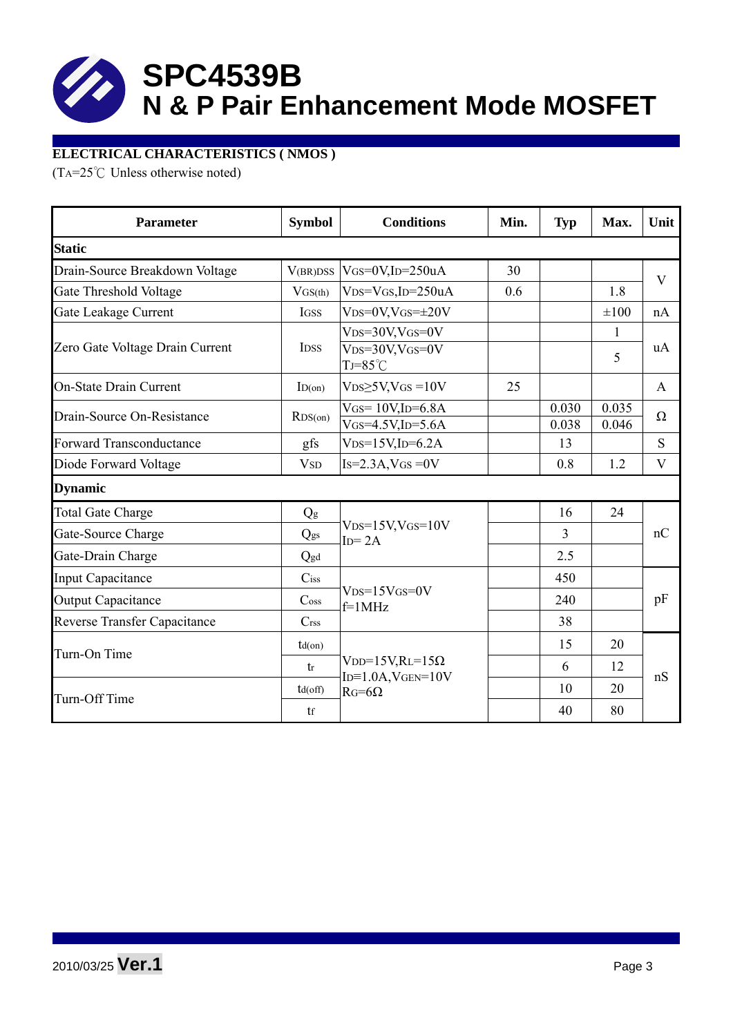

#### **ELECTRICAL CHARACTERISTICS ( NMOS )**

(TA=25°C Unless otherwise noted)

| <b>Parameter</b>                | <b>Symbol</b>               | <b>Conditions</b><br>Min.                  |    | <b>Typ</b> | Max.      | Unit         |  |
|---------------------------------|-----------------------------|--------------------------------------------|----|------------|-----------|--------------|--|
| <b>Static</b>                   |                             |                                            |    |            |           |              |  |
| Drain-Source Breakdown Voltage  | V(BR)DSS                    | $V$ GS=0V,ID=250uA                         | 30 |            |           | V            |  |
| Gate Threshold Voltage          | VGS(th)                     | $VDS=VGS$ , ID=250uA                       |    |            | 1.8       |              |  |
| Gate Leakage Current            | IGSS                        | $VDS=0V$ , $VGS=\pm 20V$                   |    |            | $\pm 100$ | nA           |  |
|                                 |                             | $V_{DS}=30V$ , $V_{GS}=0V$                 |    |            | 1         | uA<br>5      |  |
| Zero Gate Voltage Drain Current | <b>IDSS</b>                 | $VDS=30V$ , $VGS=0V$<br>$TJ = 85^{\circ}C$ |    |            |           |              |  |
| <b>On-State Drain Current</b>   | ID(on)                      | $VDS\geq 5V$ , $VGS = 10V$                 | 25 |            |           | $\mathbf{A}$ |  |
| Drain-Source On-Resistance      | RDS(0n)                     | $V$ GS= $10V$ , ID=6.8A                    |    | 0.030      | 0.035     | $\Omega$     |  |
|                                 |                             | $V$ GS=4.5V,ID=5.6A                        |    | 0.038      | 0.046     |              |  |
| Forward Transconductance        | gfs                         | $VDS=15V$ , ID=6.2A                        |    | 13         |           | S            |  |
| Diode Forward Voltage           | <b>V</b> <sub>SD</sub>      | $Is=2.3A$ , $VGS=0V$                       |    | 0.8        | 1.2       | V            |  |
| <b>Dynamic</b>                  |                             |                                            |    |            |           |              |  |
| <b>Total Gate Charge</b>        | Qg                          |                                            |    | 16         | 24        | nC           |  |
| Gate-Source Charge              | Qgs                         | $V_{DS}=15V$ , $V_{GS}=10V$<br>$ID = 2A$   |    | 3          |           |              |  |
| Gate-Drain Charge               | Qgd                         |                                            |    | 2.5        |           |              |  |
| <b>Input Capacitance</b>        | $C$ iss                     |                                            |    | 450        |           |              |  |
| <b>Output Capacitance</b>       | $\mathrm{C}$ <sub>oss</sub> | $VDS=15VGS=0V$<br>$f=1$ MHz                |    | 240        |           | pF           |  |
| Reverse Transfer Capacitance    | C <sub>rss</sub>            |                                            |    | 38         |           |              |  |
| Turn-On Time                    | $td($ on $)$                |                                            |    | 15         | 20        | nS           |  |
|                                 | tr                          | $VDD=15V,RL=15\Omega$                      |    | 6          | 12        |              |  |
| Turn-Off Time                   | $td($ off $)$               | $ID = 1.0A$ , $VGEN = 10V$<br>$RG=6\Omega$ |    | 10         | 20        |              |  |
|                                 | tf                          |                                            |    | 40         | 80        |              |  |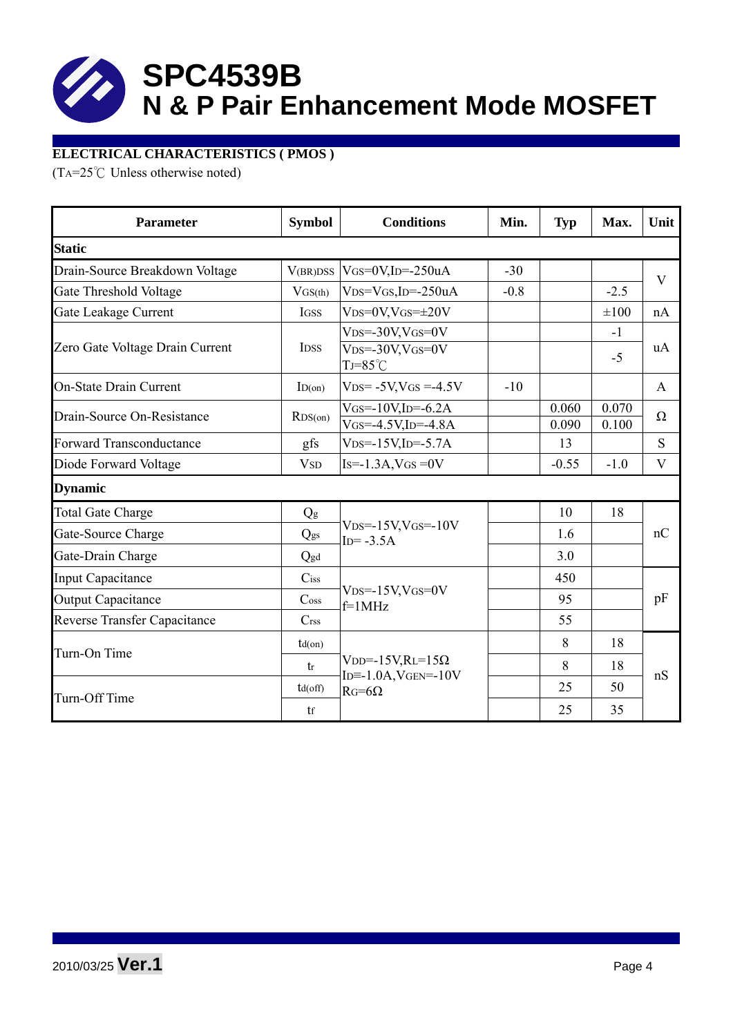

#### **ELECTRICAL CHARACTERISTICS ( PMOS )**

(TA=25°C Unless otherwise noted)

| <b>Parameter</b>                    | <b>Symbol</b>               | <b>Conditions</b>                                                                        | Min.  | <b>Typ</b>     | Max.           | Unit         |
|-------------------------------------|-----------------------------|------------------------------------------------------------------------------------------|-------|----------------|----------------|--------------|
| <b>Static</b>                       |                             |                                                                                          |       |                |                |              |
| Drain-Source Breakdown Voltage      | V(BR)DSS                    | $V$ GS=0V,ID=-250uA                                                                      | $-30$ |                |                | $\mathbf{V}$ |
| Gate Threshold Voltage              | VGS(th)                     | $VDS=VGS$ , ID=-250uA                                                                    |       |                | $-2.5$         |              |
| Gate Leakage Current                | IGSS                        | $VDS=0V$ , $VGS=\pm 20V$                                                                 |       |                | $\pm 100$      | nA           |
| Zero Gate Voltage Drain Current     | <b>IDSS</b>                 | $V_{DS} = -30V$ , $V_{GS} = 0V$<br>$V_{DS} = -30V$ , $V_{GS} = 0V$<br>$TJ = 85^{\circ}C$ |       |                | $-1$<br>$-5$   | uA           |
| <b>On-State Drain Current</b>       | ID(on)                      | $VDS = -5V$ , $VGS = -4.5V$                                                              | $-10$ |                |                | $\mathbf{A}$ |
| Drain-Source On-Resistance          | RDS(0n)                     | $V$ GS=-10V,ID=-6.2A<br>$V$ GS=-4.5V,ID=-4.8A                                            |       | 0.060<br>0.090 | 0.070<br>0.100 | $\Omega$     |
| Forward Transconductance            | gfs                         | $VDS = -15V$ , $ID = -5.7A$                                                              |       | 13             |                | S            |
| Diode Forward Voltage               | <b>V</b> <sub>SD</sub>      | $Is = -1.3A$ , $VGS = 0V$                                                                |       | $-0.55$        | $-1.0$         | $\mathbf{V}$ |
| <b>Dynamic</b>                      |                             |                                                                                          |       |                |                |              |
| <b>Total Gate Charge</b>            | Qg                          |                                                                                          |       | 10             | 18             | nC           |
| Gate-Source Charge                  | Qgs                         | $VDS = -15V$ , $VGS = -10V$<br>$ID = -3.5A$                                              |       | 1.6            |                |              |
| Gate-Drain Charge                   | Qgd                         |                                                                                          |       | 3.0            |                |              |
| <b>Input Capacitance</b>            | $C$ iss                     |                                                                                          |       | 450            |                |              |
| <b>Output Capacitance</b>           | $\mathrm{C}$ <sub>oss</sub> | $VDS = -15V$ , $VGS = 0V$<br>$f=1$ MHz                                                   |       | 95             |                | pF           |
| <b>Reverse Transfer Capacitance</b> | C <sub>rss</sub>            |                                                                                          |       | 55             |                |              |
| Turn-On Time                        | $td($ on $)$                |                                                                                          |       | 8              | 18             | nS           |
|                                     | tr                          | V <sub>DD</sub> =-15V,RL=15 $\Omega$                                                     |       | 8              | 18             |              |
| Turn-Off Time                       | $td($ off $)$               | $ID = -1.0A$ , $VGEN = -10V$<br>$RG=6\Omega$                                             |       | 25             | 50             |              |
|                                     | tf                          |                                                                                          |       | 25             | 35             |              |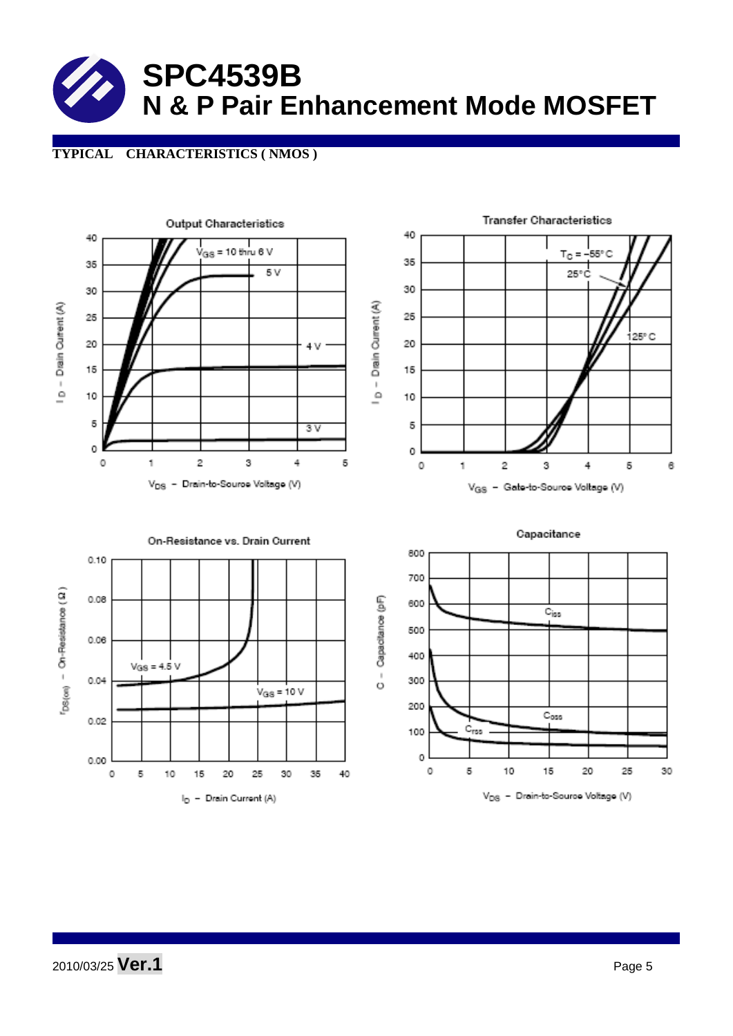#### **TYPICAL CHARACTERISTICS ( NMOS )**

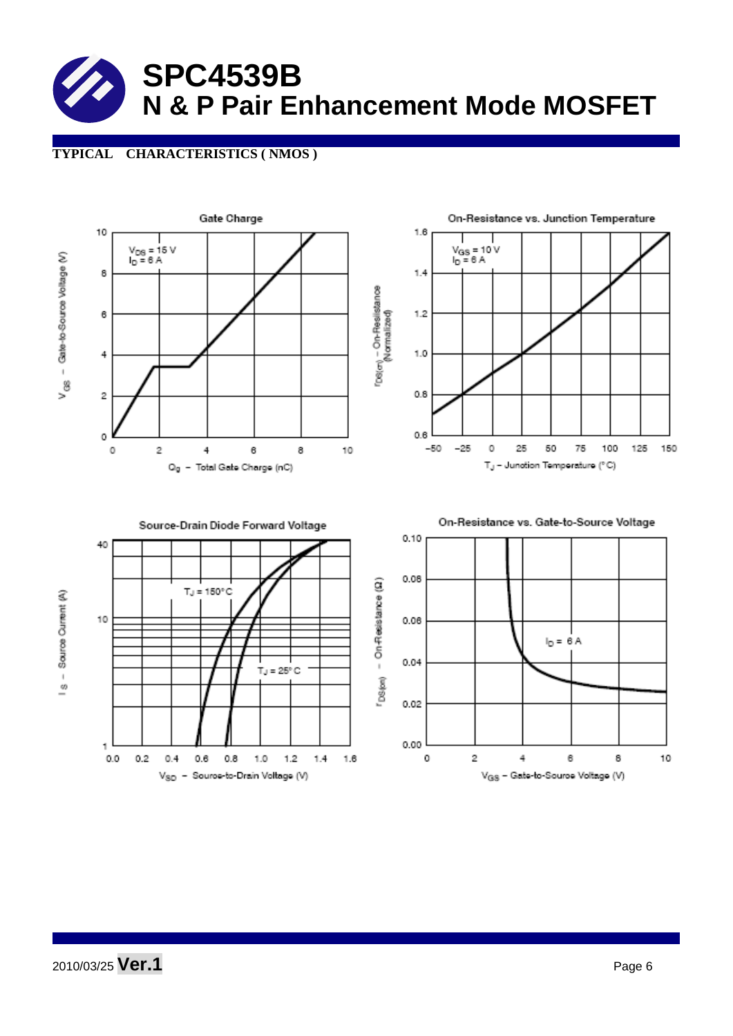#### **TYPICAL CHARACTERISTICS ( NMOS )**

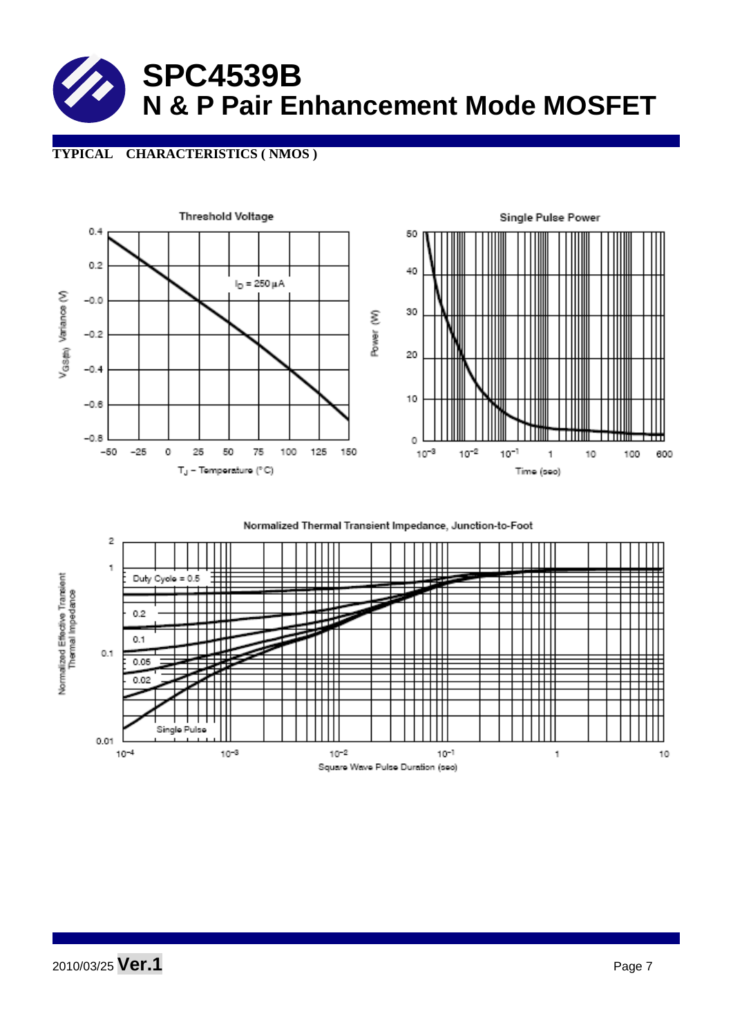#### **TYPICAL CHARACTERISTICS ( NMOS )**



#### Normalized Thermal Transient Impedance, Junction-to-Foot

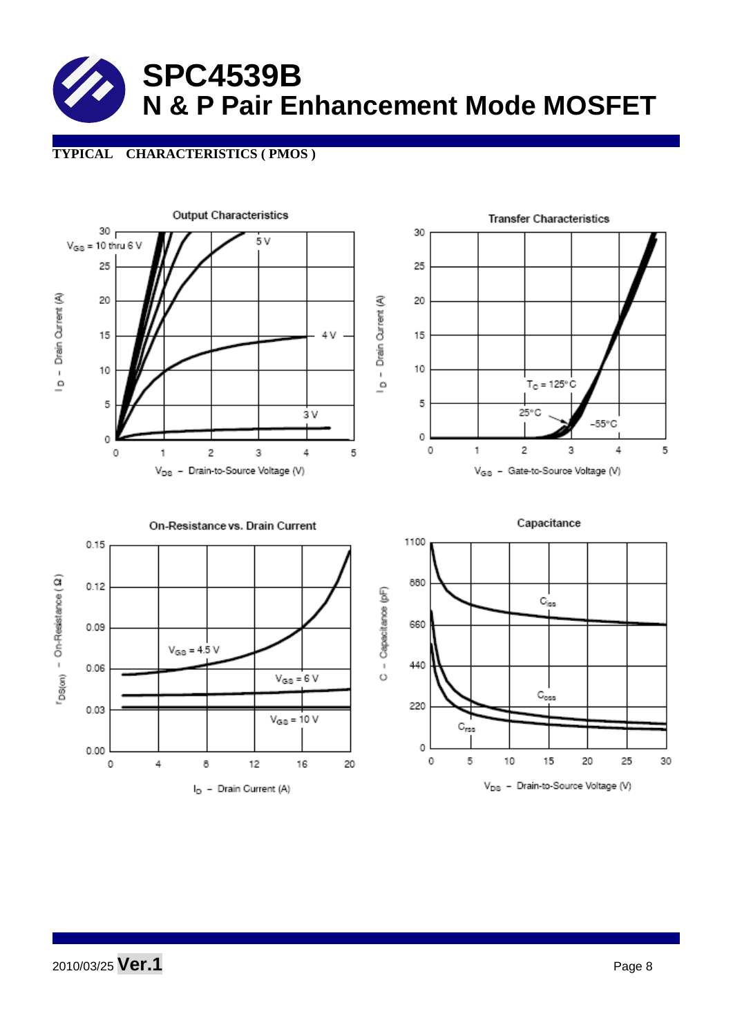### **TYPICAL CHARACTERISTICS ( PMOS )**

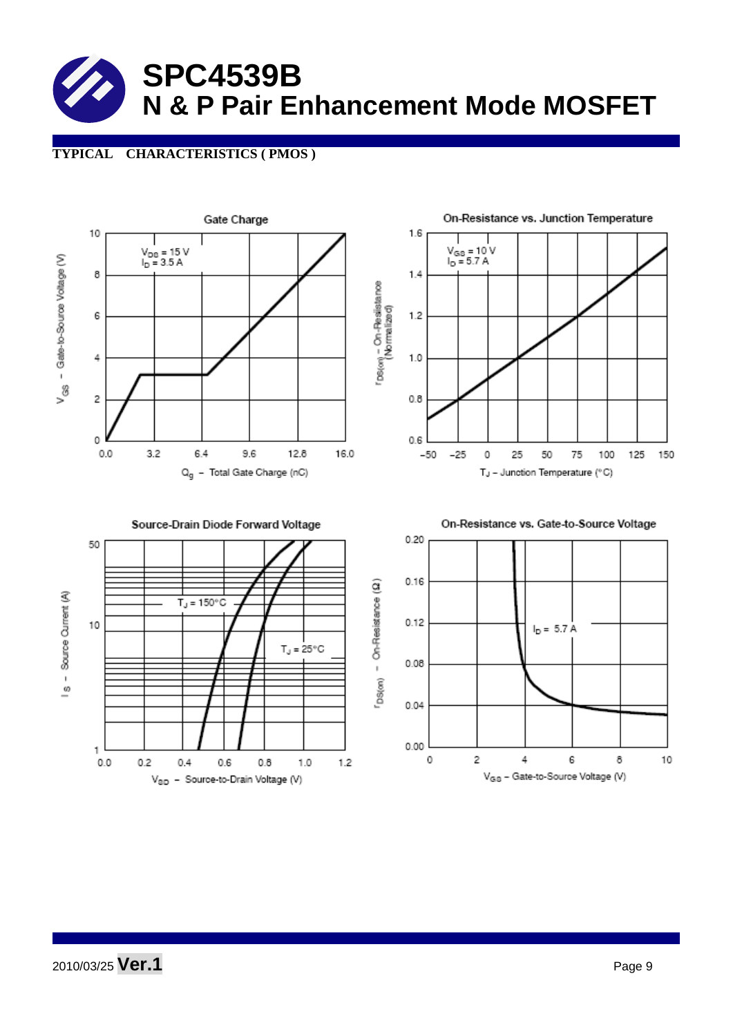#### **TYPICAL CHARACTERISTICS ( PMOS )**



2010/03/25 **Ver.1** Page 9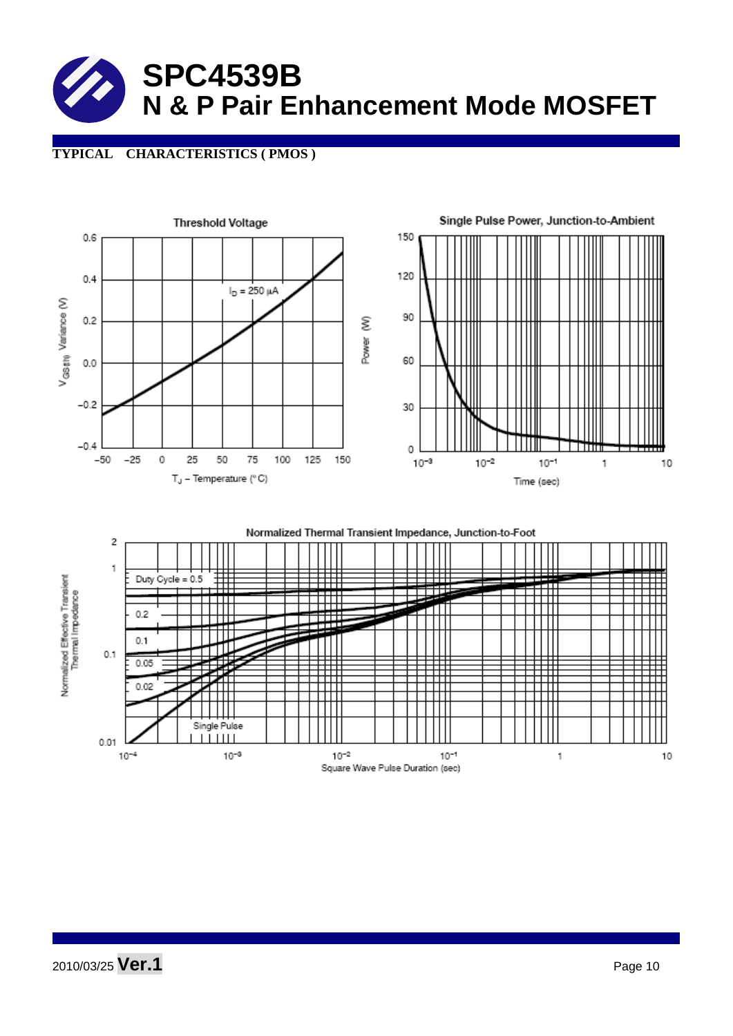### **TYPICAL CHARACTERISTICS ( PMOS )**



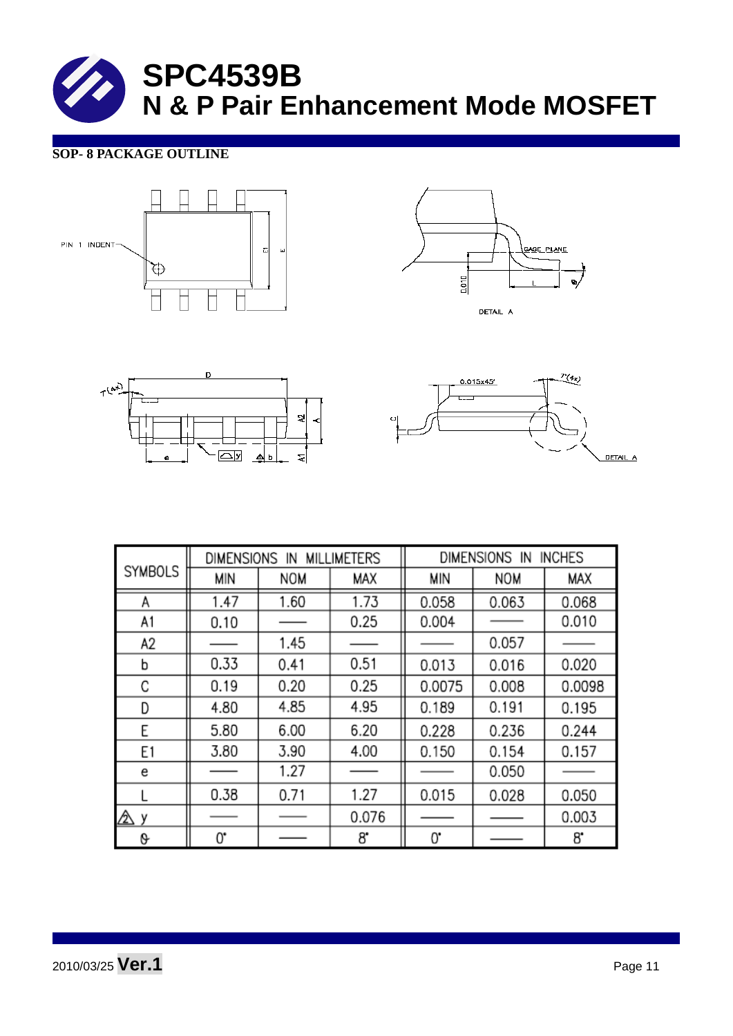#### **SOP- 8 PACKAGE OUTLINE**









|                | <b>MILLIMETERS</b><br>DIMENSIONS IN |      |       | <b>INCHES</b><br><b>DIMENSIONS</b><br>IN |            |        |  |
|----------------|-------------------------------------|------|-------|------------------------------------------|------------|--------|--|
| <b>SYMBOLS</b> | MIN                                 | NOM  | MAX   | MIN                                      | <b>NOM</b> | MAX    |  |
| Α              | 1.47                                | 1.60 | 1.73  | 0.058                                    | 0.063      | 0.068  |  |
| A1             | 0.10                                |      | 0.25  | 0.004                                    |            | 0.010  |  |
| A2             |                                     | 1.45 |       |                                          | 0.057      |        |  |
| b              | 0.33                                | 0.41 | 0.51  | 0.013                                    | 0.016      | 0.020  |  |
| С              | 0.19                                | 0.20 | 0.25  | 0.0075                                   | 0.008      | 0.0098 |  |
| D              | 4.80                                | 4.85 | 4.95  | 0.189                                    | 0.191      | 0.195  |  |
| E              | 5.80                                | 6.00 | 6.20  | 0.228                                    | 0.236      | 0.244  |  |
| E1             | 3.80                                | 3.90 | 4.00  | 0.150                                    | 0.154      | 0.157  |  |
| e              |                                     | 1.27 |       |                                          | 0.050      |        |  |
|                | 0.38                                | 0.71 | 1.27  | 0.015                                    | 0.028      | 0.050  |  |
| ⚠<br>٧         |                                     |      | 0.076 |                                          |            | 0.003  |  |
| 0              | 0.                                  |      | 8.    | 0.                                       |            | 8.     |  |

2010/03/25 **Ver.1** Page 11